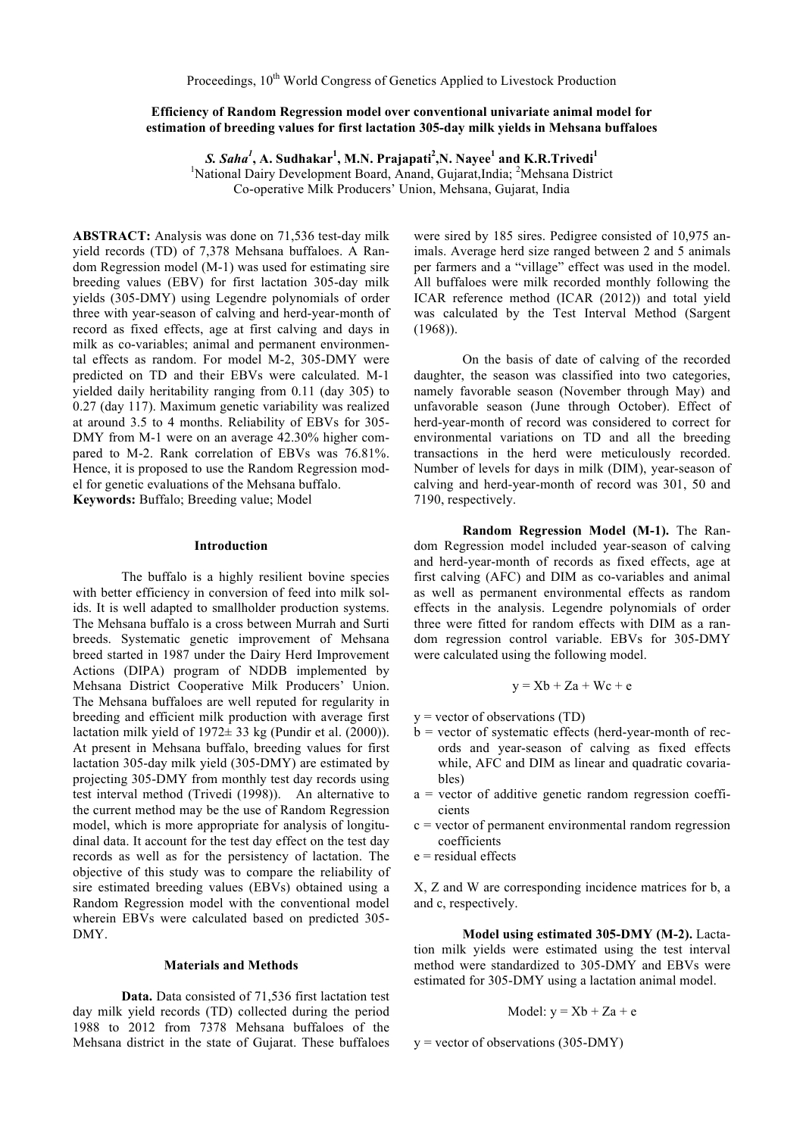# **Efficiency of Random Regression model over conventional univariate animal model for estimation of breeding values for first lactation 305-day milk yields in Mehsana buffaloes**

*S. Saha<sup>1</sup>* **, A. Sudhakar<sup>1</sup> , M.N. Prajapati<sup>2</sup> ,N. Nayee<sup>1</sup> and K.R.Trivedi<sup>1</sup>** <sup>1</sup>National Dairy Development Board, Anand, Gujarat, India; <sup>2</sup>Mehsana District Co-operative Milk Producers' Union, Mehsana, Gujarat, India

**ABSTRACT:** Analysis was done on 71,536 test-day milk yield records (TD) of 7,378 Mehsana buffaloes. A Random Regression model (M-1) was used for estimating sire breeding values (EBV) for first lactation 305-day milk yields (305-DMY) using Legendre polynomials of order three with year-season of calving and herd-year-month of record as fixed effects, age at first calving and days in milk as co-variables; animal and permanent environmental effects as random. For model M-2, 305-DMY were predicted on TD and their EBVs were calculated. M-1 yielded daily heritability ranging from 0.11 (day 305) to 0.27 (day 117). Maximum genetic variability was realized at around 3.5 to 4 months. Reliability of EBVs for 305- DMY from M-1 were on an average 42.30% higher compared to M-2. Rank correlation of EBVs was 76.81%. Hence, it is proposed to use the Random Regression model for genetic evaluations of the Mehsana buffalo. **Keywords:** Buffalo; Breeding value; Model

## **Introduction**

The buffalo is a highly resilient bovine species with better efficiency in conversion of feed into milk solids. It is well adapted to smallholder production systems. The Mehsana buffalo is a cross between Murrah and Surti breeds. Systematic genetic improvement of Mehsana breed started in 1987 under the Dairy Herd Improvement Actions (DIPA) program of NDDB implemented by Mehsana District Cooperative Milk Producers' Union. The Mehsana buffaloes are well reputed for regularity in breeding and efficient milk production with average first lactation milk yield of  $1972± 33$  kg (Pundir et al. (2000)). At present in Mehsana buffalo, breeding values for first lactation 305-day milk yield (305-DMY) are estimated by projecting 305-DMY from monthly test day records using test interval method (Trivedi (1998)). An alternative to the current method may be the use of Random Regression model, which is more appropriate for analysis of longitudinal data. It account for the test day effect on the test day records as well as for the persistency of lactation. The objective of this study was to compare the reliability of sire estimated breeding values (EBVs) obtained using a Random Regression model with the conventional model wherein EBVs were calculated based on predicted 305- DMY.

#### **Materials and Methods**

**Data.** Data consisted of 71,536 first lactation test day milk yield records (TD) collected during the period 1988 to 2012 from 7378 Mehsana buffaloes of the Mehsana district in the state of Gujarat. These buffaloes were sired by 185 sires. Pedigree consisted of 10,975 animals. Average herd size ranged between 2 and 5 animals per farmers and a "village" effect was used in the model. All buffaloes were milk recorded monthly following the ICAR reference method (ICAR (2012)) and total yield was calculated by the Test Interval Method (Sargent (1968)).

On the basis of date of calving of the recorded daughter, the season was classified into two categories, namely favorable season (November through May) and unfavorable season (June through October). Effect of herd-year-month of record was considered to correct for environmental variations on TD and all the breeding transactions in the herd were meticulously recorded. Number of levels for days in milk (DIM), year-season of calving and herd-year-month of record was 301, 50 and 7190, respectively.

**Random Regression Model (M-1).** The Random Regression model included year-season of calving and herd-year-month of records as fixed effects, age at first calving (AFC) and DIM as co-variables and animal as well as permanent environmental effects as random effects in the analysis. Legendre polynomials of order three were fitted for random effects with DIM as a random regression control variable. EBVs for 305-DMY were calculated using the following model.

$$
y = Xb + Za + Wc + e
$$

- $y = vector of observations (TD)$
- $b$  = vector of systematic effects (herd-year-month of records and year-season of calving as fixed effects while, AFC and DIM as linear and quadratic covariables)
- $a =$  vector of additive genetic random regression coefficients
- $c$  = vector of permanent environmental random regression coefficients
- $e$  = residual effects

X, Z and W are corresponding incidence matrices for b, a and c, respectively.

**Model using estimated 305-DMY (M-2).** Lactation milk yields were estimated using the test interval method were standardized to 305-DMY and EBVs were estimated for 305-DMY using a lactation animal model.

$$
Model: y = Xb + Za + e
$$

 $y = vector of observations (305-DMY)$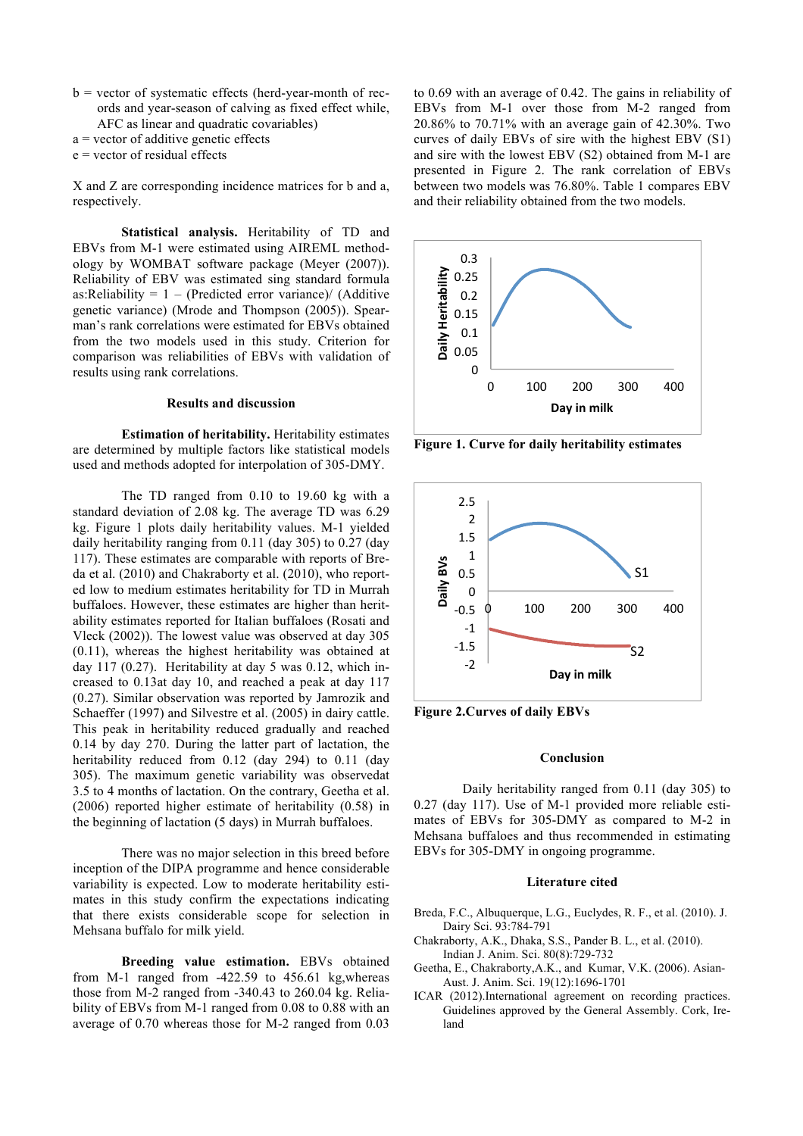- $b =$  vector of systematic effects (herd-year-month of records and year-season of calving as fixed effect while, AFC as linear and quadratic covariables)
- a = vector of additive genetic effects

 $e$  = vector of residual effects

X and Z are corresponding incidence matrices for b and a, respectively.

**Statistical analysis.** Heritability of TD and EBVs from M-1 were estimated using AIREML methodology by WOMBAT software package (Meyer (2007)). Reliability of EBV was estimated sing standard formula as:Reliability =  $1 - (Predicted error variance) / (Additive)$ genetic variance) (Mrode and Thompson (2005)). Spearman's rank correlations were estimated for EBVs obtained from the two models used in this study. Criterion for comparison was reliabilities of EBVs with validation of results using rank correlations.

#### **Results and discussion**

**Estimation of heritability.** Heritability estimates are determined by multiple factors like statistical models used and methods adopted for interpolation of 305-DMY.

The TD ranged from 0.10 to 19.60 kg with a standard deviation of 2.08 kg. The average TD was 6.29 kg. Figure 1 plots daily heritability values. M-1 yielded daily heritability ranging from 0.11 (day 305) to 0.27 (day 117). These estimates are comparable with reports of Breda et al. (2010) and Chakraborty et al. (2010), who reported low to medium estimates heritability for TD in Murrah buffaloes. However, these estimates are higher than heritability estimates reported for Italian buffaloes (Rosati and Vleck (2002)). The lowest value was observed at day 305 (0.11), whereas the highest heritability was obtained at day 117 (0.27). Heritability at day 5 was 0.12, which increased to 0.13at day 10, and reached a peak at day 117 (0.27). Similar observation was reported by Jamrozik and Schaeffer (1997) and Silvestre et al. (2005) in dairy cattle. This peak in heritability reduced gradually and reached 0.14 by day 270. During the latter part of lactation, the heritability reduced from 0.12 (day 294) to 0.11 (day 305). The maximum genetic variability was observedat 3.5 to 4 months of lactation. On the contrary, Geetha et al. (2006) reported higher estimate of heritability (0.58) in the beginning of lactation (5 days) in Murrah buffaloes.

There was no major selection in this breed before inception of the DIPA programme and hence considerable variability is expected. Low to moderate heritability estimates in this study confirm the expectations indicating that there exists considerable scope for selection in Mehsana buffalo for milk yield.

**Breeding value estimation.** EBVs obtained from M-1 ranged from -422.59 to 456.61 kg,whereas those from M-2 ranged from -340.43 to 260.04 kg. Reliability of EBVs from M-1 ranged from 0.08 to 0.88 with an average of 0.70 whereas those for M-2 ranged from 0.03 to 0.69 with an average of 0.42. The gains in reliability of EBVs from M-1 over those from M-2 ranged from 20.86% to 70.71% with an average gain of 42.30%. Two curves of daily EBVs of sire with the highest EBV (S1) and sire with the lowest EBV (S2) obtained from M-1 are presented in Figure 2. The rank correlation of EBVs between two models was 76.80%. Table 1 compares EBV and their reliability obtained from the two models.



**Figure 1. Curve for daily heritability estimates**



**Figure 2.Curves of daily EBVs**

## **Conclusion**

Daily heritability ranged from 0.11 (day 305) to 0.27 (day 117). Use of M-1 provided more reliable estimates of EBVs for 305-DMY as compared to M-2 in Mehsana buffaloes and thus recommended in estimating EBVs for 305-DMY in ongoing programme.

### **Literature cited**

- Breda, F.C., Albuquerque, L.G., Euclydes, R. F., et al. (2010). J. Dairy Sci. 93:784-791
- Chakraborty, A.K., Dhaka, S.S., Pander B. L., et al. (2010). Indian J. Anim. Sci. 80(8):729-732
- Geetha, E., Chakraborty,A.K., and Kumar, V.K. (2006). Asian-Aust. J. Anim. Sci. 19(12):1696-1701
- ICAR (2012).International agreement on recording practices. Guidelines approved by the General Assembly. Cork, Ireland